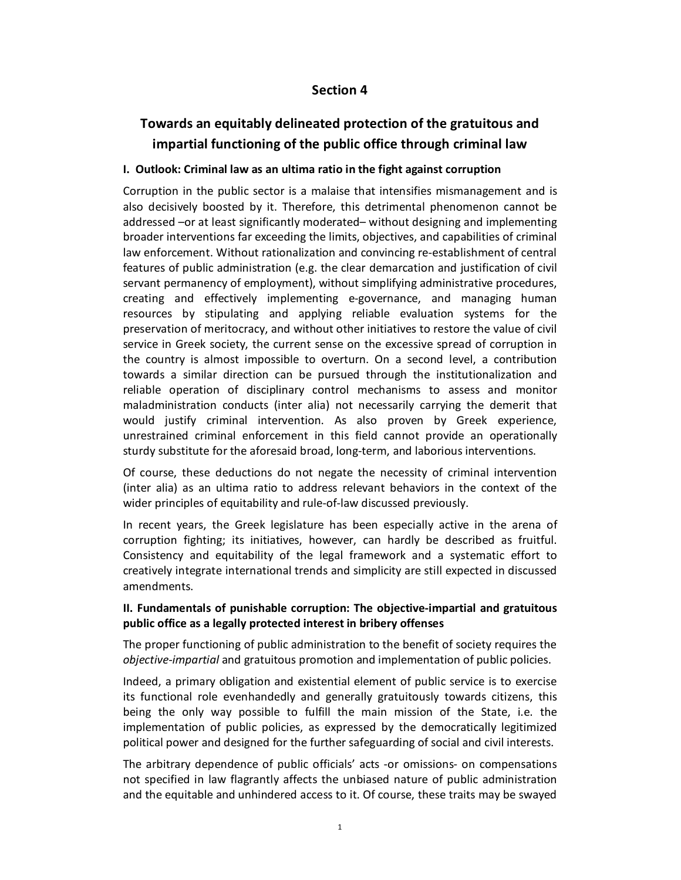## **Section 4**

# **Towards an equitably delineated protection of the gratuitous and impartial functioning of the public office through criminal law**

#### **Ι. Outlook: Criminal law as an ultima ratio in the fight against corruption**

Corruption in the public sector is a malaise that intensifies mismanagement and is also decisively boosted by it. Therefore, this detrimental phenomenon cannot be addressed –or at least significantly moderated– without designing and implementing broader interventions far exceeding the limits, objectives, and capabilities of criminal law enforcement. Without rationalization and convincing re-establishment of central features of public administration (e.g. the clear demarcation and justification of civil servant permanency of employment), without simplifying administrative procedures, creating and effectively implementing e-governance, and managing human resources by stipulating and applying reliable evaluation systems for the preservation of meritocracy, and without other initiatives to restore the value of civil service in Greek society, the current sense on the excessive spread of corruption in the country is almost impossible to overturn. On a second level, a contribution towards a similar direction can be pursued through the institutionalization and reliable operation of disciplinary control mechanisms to assess and monitor maladministration conducts (inter alia) not necessarily carrying the demerit that would justify criminal intervention. As also proven by Greek experience, unrestrained criminal enforcement in this field cannot provide an operationally sturdy substitute for the aforesaid broad, long-term, and laborious interventions.

Of course, these deductions do not negate the necessity of criminal intervention (inter alia) as an ultima ratio to address relevant behaviors in the context of the wider principles of equitability and rule-of-law discussed previously.

In recent years, the Greek legislature has been especially active in the arena of corruption fighting; its initiatives, however, can hardly be described as fruitful. Consistency and equitability of the legal framework and a systematic effort to creatively integrate international trends and simplicity are still expected in discussed amendments.

## **ΙΙ. Fundamentals of punishable corruption: The objective-impartial and gratuitous public office as a legally protected interest in bribery offenses**

The proper functioning of public administration to the benefit of society requires the *objective-impartial* and gratuitous promotion and implementation of public policies.

Indeed, a primary obligation and existential element of public service is to exercise its functional role evenhandedly and generally gratuitously towards citizens, this being the only way possible to fulfill the main mission of the State, i.e. the implementation of public policies, as expressed by the democratically legitimized political power and designed for the further safeguarding of social and civil interests.

The arbitrary dependence of public officials' acts -or omissions- on compensations not specified in law flagrantly affects the unbiased nature of public administration and the equitable and unhindered access to it. Of course, these traits may be swayed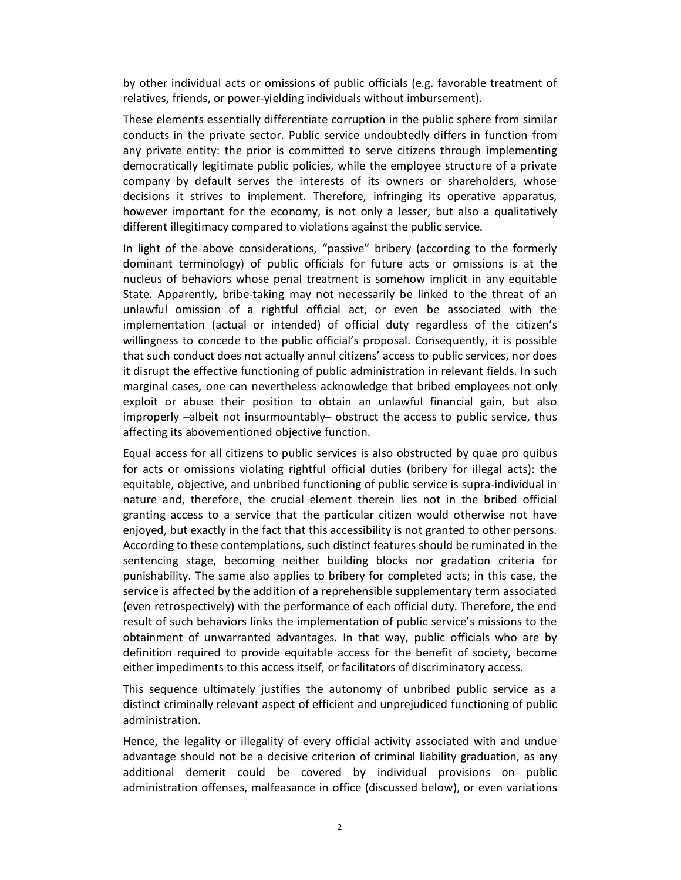by other individual acts or omissions of public officials (e.g. favorable treatment of relatives, friends, or power-yielding individuals without imbursement).

These elements essentially differentiate corruption in the public sphere from similar conducts in the private sector. Public service undoubtedly differs in function from any private entity: the prior is committed to serve citizens through implementing democratically legitimate public policies, while the employee structure of a private company by default serves the interests of its owners or shareholders, whose decisions it strives to implement. Therefore, infringing its operative apparatus, however important for the economy, is not only a lesser, but also a qualitatively different illegitimacy compared to violations against the public service.

In light of the above considerations, "passive" bribery (according to the formerly dominant terminology) of public officials for future acts or omissions is at the nucleus of behaviors whose penal treatment is somehow implicit in any equitable State. Apparently, bribe-taking may not necessarily be linked to the threat of an unlawful omission of a rightful official act, or even be associated with the implementation (actual or intended) of official duty regardless of the citizen's willingness to concede to the public official's proposal. Consequently, it is possible that such conduct does not actually annul citizens' access to public services, nor does it disrupt the effective functioning of public administration in relevant fields. In such marginal cases, one can nevertheless acknowledge that bribed employees not only exploit or abuse their position to obtain an unlawful financial gain, but also improperly –albeit not insurmountably– obstruct the access to public service, thus affecting its abovementioned objective function.

Equal access for all citizens to public services is also obstructed by quae pro quibus for acts or omissions violating rightful official duties (bribery for illegal acts): the equitable, objective, and unbribed functioning of public service is supra-individual in nature and, therefore, the crucial element therein lies not in the bribed official granting access to a service that the particular citizen would otherwise not have enjoyed, but exactly in the fact that this accessibility is not granted to other persons. According to these contemplations, such distinct features should be ruminated in the sentencing stage, becoming neither building blocks nor gradation criteria for punishability. The same also applies to bribery for completed acts; in this case, the service is affected by the addition of a reprehensible supplementary term associated (even retrospectively) with the performance of each official duty. Therefore, the end result of such behaviors links the implementation of public service's missions to the obtainment of unwarranted advantages. In that way, public officials who are by definition required to provide equitable access for the benefit of society, become either impediments to this access itself, or facilitators of discriminatory access.

This sequence ultimately justifies the autonomy of unbribed public service as a distinct criminally relevant aspect of efficient and unprejudiced functioning of public administration.

Hence, the legality or illegality of every official activity associated with and undue advantage should not be a decisive criterion of criminal liability graduation, as any additional demerit could be covered by individual provisions on public administration offenses, malfeasance in office (discussed below), or even variations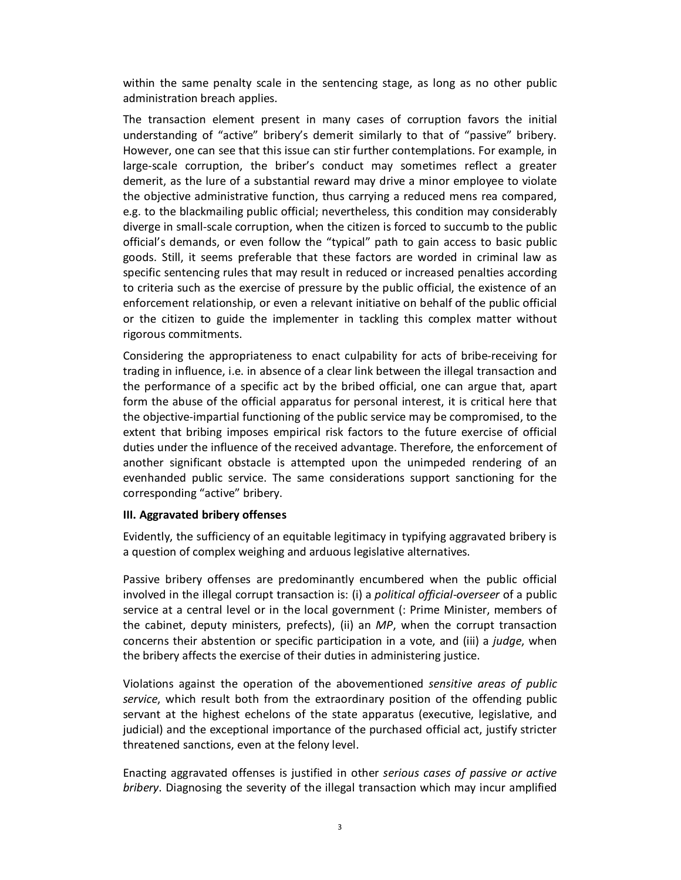within the same penalty scale in the sentencing stage, as long as no other public administration breach applies.

The transaction element present in many cases of corruption favors the initial understanding of "active" bribery's demerit similarly to that of "passive" bribery. However, one can see that this issue can stir further contemplations. For example, in large-scale corruption, the briber's conduct may sometimes reflect a greater demerit, as the lure of a substantial reward may drive a minor employee to violate the objective administrative function, thus carrying a reduced mens rea compared, e.g. to the blackmailing public official; nevertheless, this condition may considerably diverge in small-scale corruption, when the citizen is forced to succumb to the public official's demands, or even follow the "typical" path to gain access to basic public goods. Still, it seems preferable that these factors are worded in criminal law as specific sentencing rules that may result in reduced or increased penalties according to criteria such as the exercise of pressure by the public official, the existence of an enforcement relationship, or even a relevant initiative on behalf of the public official or the citizen to guide the implementer in tackling this complex matter without rigorous commitments.

Considering the appropriateness to enact culpability for acts of bribe-receiving for trading in influence, i.e. in absence of a clear link between the illegal transaction and the performance of a specific act by the bribed official, one can argue that, apart form the abuse of the official apparatus for personal interest, it is critical here that the objective-impartial functioning of the public service may be compromised, to the extent that bribing imposes empirical risk factors to the future exercise of official duties under the influence of the received advantage. Therefore, the enforcement of another significant obstacle is attempted upon the unimpeded rendering of an evenhanded public service. The same considerations support sanctioning for the corresponding "active" bribery.

#### **ΙII. Aggravated bribery offenses**

Evidently, the sufficiency of an equitable legitimacy in typifying aggravated bribery is a question of complex weighing and arduous legislative alternatives.

Passive bribery offenses are predominantly encumbered when the public official involved in the illegal corrupt transaction is: (i) a *political official-overseer* of a public service at a central level or in the local government (: Prime Minister, members of the cabinet, deputy ministers, prefects), (ii) an *MP*, when the corrupt transaction concerns their abstention or specific participation in a vote, and (iii) a *judge*, when the bribery affects the exercise of their duties in administering justice.

Violations against the operation of the abovementioned *sensitive areas of public service*, which result both from the extraordinary position of the offending public servant at the highest echelons of the state apparatus (executive, legislative, and judicial) and the exceptional importance of the purchased official act, justify stricter threatened sanctions, even at the felony level.

Enacting aggravated offenses is justified in other *serious cases of passive or active bribery*. Diagnosing the severity of the illegal transaction which may incur amplified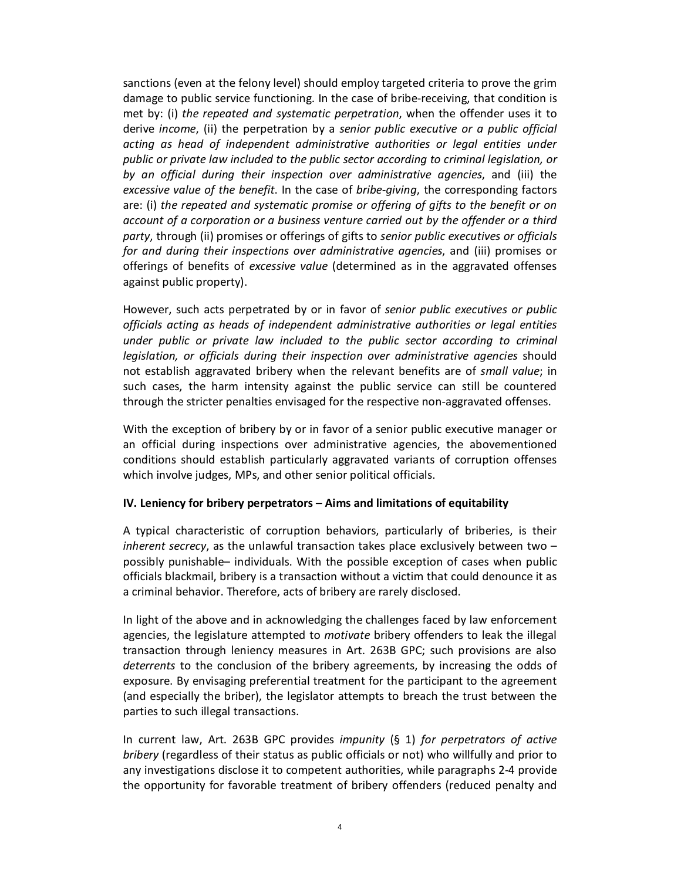sanctions (even at the felony level) should employ targeted criteria to prove the grim damage to public service functioning. In the case of bribe-receiving, that condition is met by: (i) *the repeated and systematic perpetration*, when the offender uses it to derive *income*, (ii) the perpetration by a *senior public executive or a public official acting as head of independent administrative authorities or legal entities under public or private law included to the public sector according to criminal legislation, or by an official during their inspection over administrative agencies*, and (iii) the *excessive value of the benefit*. In the case of *bribe-giving*, the corresponding factors are: (i) *the repeated and systematic promise or offering of gifts to the benefit or on account of a corporation or a business venture carried out by the offender or a third party*, through (ii) promises or offerings of gifts to *senior public executives or officials for and during their inspections over administrative agencies*, and (iii) promises or offerings of benefits of *excessive value* (determined as in the aggravated offenses against public property).

However, such acts perpetrated by or in favor of *senior public executives or public officials acting as heads of independent administrative authorities or legal entities under public or private law included to the public sector according to criminal legislation, or officials during their inspection over administrative agencies* should not establish aggravated bribery when the relevant benefits are of *small value*; in such cases, the harm intensity against the public service can still be countered through the stricter penalties envisaged for the respective non-aggravated offenses.

With the exception of bribery by or in favor of a senior public executive manager or an official during inspections over administrative agencies, the abovementioned conditions should establish particularly aggravated variants of corruption offenses which involve judges, MPs, and other senior political officials.

#### **ΙV. Leniency for bribery perpetrators – Aims and limitations of equitability**

A typical characteristic of corruption behaviors, particularly of briberies, is their *inherent secrecy*, as the unlawful transaction takes place exclusively between two – possibly punishable– individuals. With the possible exception of cases when public officials blackmail, bribery is a transaction without a victim that could denounce it as a criminal behavior. Therefore, acts of bribery are rarely disclosed.

In light of the above and in acknowledging the challenges faced by law enforcement agencies, the legislature attempted to *motivate* bribery offenders to leak the illegal transaction through leniency measures in Art. 263B GPC; such provisions are also *deterrents* to the conclusion of the bribery agreements, by increasing the odds of exposure. By envisaging preferential treatment for the participant to the agreement (and especially the briber), the legislator attempts to breach the trust between the parties to such illegal transactions.

In current law, Art. 263B GPC provides *impunity* (§ 1) *for perpetrators of active bribery* (regardless of their status as public officials or not) who willfully and prior to any investigations disclose it to competent authorities, while paragraphs 2-4 provide the opportunity for favorable treatment of bribery offenders (reduced penalty and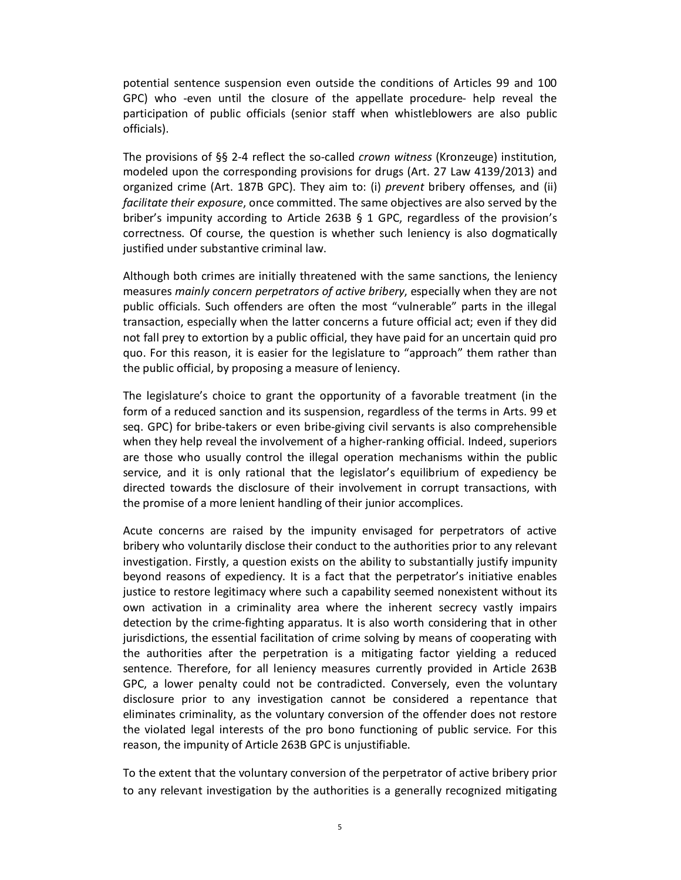potential sentence suspension even outside the conditions of Articles 99 and 100 GPC) who -even until the closure of the appellate procedure- help reveal the participation of public officials (senior staff when whistleblowers are also public officials).

The provisions of §§ 2-4 reflect the so-called *crown witness* (Kronzeuge) institution, modeled upon the corresponding provisions for drugs (Art. 27 Law 4139/2013) and organized crime (Art. 187B GPC). They aim to: (i) *prevent* bribery offenses, and (ii) *facilitate their exposure*, once committed. The same objectives are also served by the briber's impunity according to Article 263B § 1 GPC, regardless of the provision's correctness. Of course, the question is whether such leniency is also dogmatically justified under substantive criminal law.

Although both crimes are initially threatened with the same sanctions, the leniency measures *mainly concern perpetrators of active bribery*, especially when they are not public officials. Such offenders are often the most "vulnerable" parts in the illegal transaction, especially when the latter concerns a future official act; even if they did not fall prey to extortion by a public official, they have paid for an uncertain quid pro quo. For this reason, it is easier for the legislature to "approach" them rather than the public official, by proposing a measure of leniency.

The legislature's choice to grant the opportunity of a favorable treatment (in the form of a reduced sanction and its suspension, regardless of the terms in Arts. 99 et seq. GPC) for bribe-takers or even bribe-giving civil servants is also comprehensible when they help reveal the involvement of a higher-ranking official. Indeed, superiors are those who usually control the illegal operation mechanisms within the public service, and it is only rational that the legislator's equilibrium of expediency be directed towards the disclosure of their involvement in corrupt transactions, with the promise of a more lenient handling of their junior accomplices.

Acute concerns are raised by the impunity envisaged for perpetrators of active bribery who voluntarily disclose their conduct to the authorities prior to any relevant investigation. Firstly, a question exists on the ability to substantially justify impunity beyond reasons of expediency. It is a fact that the perpetrator's initiative enables justice to restore legitimacy where such a capability seemed nonexistent without its own activation in a criminality area where the inherent secrecy vastly impairs detection by the crime-fighting apparatus. It is also worth considering that in other jurisdictions, the essential facilitation of crime solving by means of cooperating with the authorities after the perpetration is a mitigating factor yielding a reduced sentence. Therefore, for all leniency measures currently provided in Article 263B GPC, a lower penalty could not be contradicted. Conversely, even the voluntary disclosure prior to any investigation cannot be considered a repentance that eliminates criminality, as the voluntary conversion of the offender does not restore the violated legal interests of the pro bono functioning of public service. For this reason, the impunity of Article 263B GPC is unjustifiable.

To the extent that the voluntary conversion of the perpetrator of active bribery prior to any relevant investigation by the authorities is a generally recognized mitigating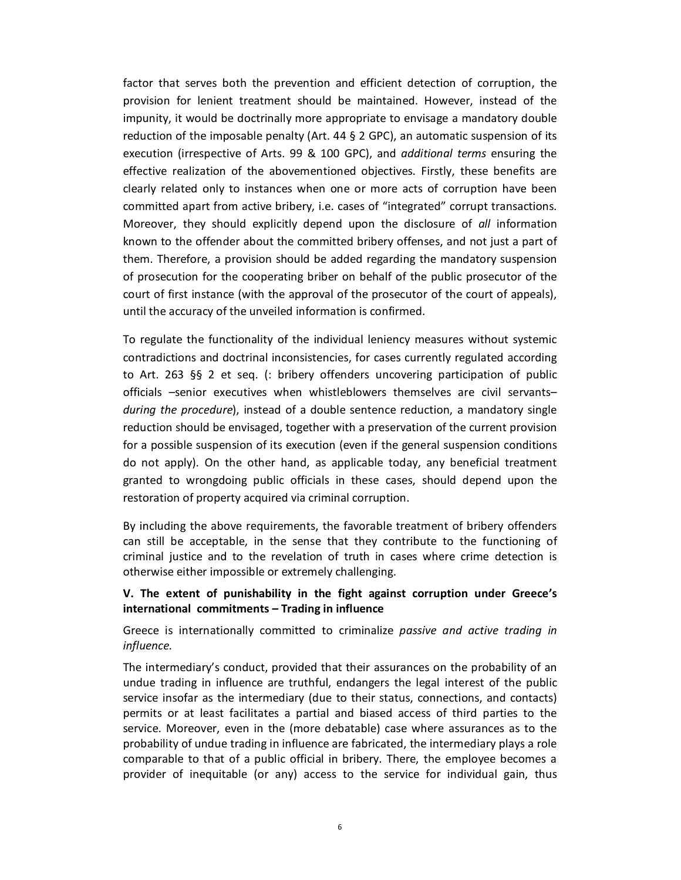factor that serves both the prevention and efficient detection of corruption, the provision for lenient treatment should be maintained. However, instead of the impunity, it would be doctrinally more appropriate to envisage a mandatory double reduction of the imposable penalty (Art.  $44 \xi$  2 GPC), an automatic suspension of its execution (irrespective of Arts. 99 & 100 GPC), and *additional terms* ensuring the effective realization of the abovementioned objectives. Firstly, these benefits are clearly related only to instances when one or more acts of corruption have been committed apart from active bribery, i.e. cases of "integrated" corrupt transactions. Moreover, they should explicitly depend upon the disclosure of *all* information known to the offender about the committed bribery offenses, and not just a part of them. Therefore, a provision should be added regarding the mandatory suspension of prosecution for the cooperating briber on behalf of the public prosecutor of the court of first instance (with the approval of the prosecutor of the court of appeals), until the accuracy of the unveiled information is confirmed.

To regulate the functionality of the individual leniency measures without systemic contradictions and doctrinal inconsistencies, for cases currently regulated according to Art. 263 §§ 2 et seq. (: bribery offenders uncovering participation of public officials –senior executives when whistleblowers themselves are civil servants– *during the procedure*), instead of a double sentence reduction, a mandatory single reduction should be envisaged, together with a preservation of the current provision for a possible suspension of its execution (even if the general suspension conditions do not apply). On the other hand, as applicable today, any beneficial treatment granted to wrongdoing public officials in these cases, should depend upon the restoration of property acquired via criminal corruption.

By including the above requirements, the favorable treatment of bribery offenders can still be acceptable, in the sense that they contribute to the functioning of criminal justice and to the revelation of truth in cases where crime detection is otherwise either impossible or extremely challenging.

## **V. The extent of punishability in the fight against corruption under Greece's international commitments – Trading in influence**

Greece is internationally committed to criminalize *passive and active trading in influence*.

The intermediary's conduct, provided that their assurances on the probability of an undue trading in influence are truthful, endangers the legal interest of the public service insofar as the intermediary (due to their status, connections, and contacts) permits or at least facilitates a partial and biased access of third parties to the service. Moreover, even in the (more debatable) case where assurances as to the probability of undue trading in influence are fabricated, the intermediary plays a role comparable to that of a public official in bribery. There, the employee becomes a provider of inequitable (or any) access to the service for individual gain, thus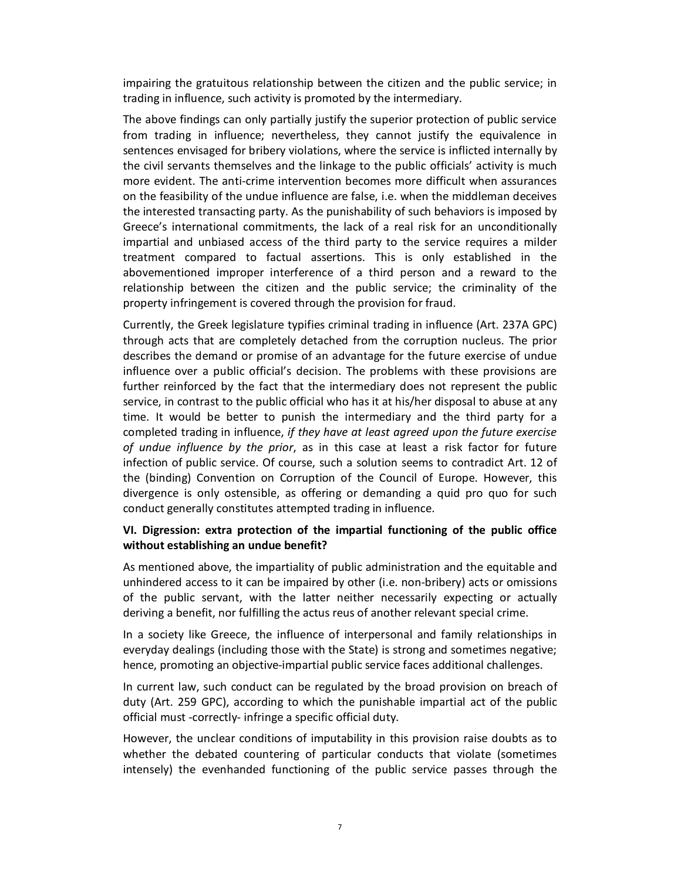impairing the gratuitous relationship between the citizen and the public service; in trading in influence, such activity is promoted by the intermediary.

The above findings can only partially justify the superior protection of public service from trading in influence; nevertheless, they cannot justify the equivalence in sentences envisaged for bribery violations, where the service is inflicted internally by the civil servants themselves and the linkage to the public officials' activity is much more evident. The anti-crime intervention becomes more difficult when assurances on the feasibility of the undue influence are false, i.e. when the middleman deceives the interested transacting party. As the punishability of such behaviors is imposed by Greece's international commitments, the lack of a real risk for an unconditionally impartial and unbiased access of the third party to the service requires a milder treatment compared to factual assertions. This is only established in the abovementioned improper interference of a third person and a reward to the relationship between the citizen and the public service; the criminality of the property infringement is covered through the provision for fraud.

Currently, the Greek legislature typifies criminal trading in influence (Art. 237A GPC) through acts that are completely detached from the corruption nucleus. The prior describes the demand or promise of an advantage for the future exercise of undue influence over a public official's decision. The problems with these provisions are further reinforced by the fact that the intermediary does not represent the public service, in contrast to the public official who has it at his/her disposal to abuse at any time. It would be better to punish the intermediary and the third party for a completed trading in influence, *if they have at least agreed upon the future exercise of undue influence by the prior*, as in this case at least a risk factor for future infection of public service. Of course, such a solution seems to contradict Art. 12 of the (binding) Convention on Corruption of the Council of Europe. However, this divergence is only ostensible, as offering or demanding a quid pro quo for such conduct generally constitutes attempted trading in influence.

#### **VI. Digression: extra protection of the impartial functioning of the public office without establishing an undue benefit?**

As mentioned above, the impartiality of public administration and the equitable and unhindered access to it can be impaired by other (i.e. non-bribery) acts or omissions of the public servant, with the latter neither necessarily expecting or actually deriving a benefit, nor fulfilling the actus reus of another relevant special crime.

In a society like Greece, the influence of interpersonal and family relationships in everyday dealings (including those with the State) is strong and sometimes negative; hence, promoting an objective-impartial public service faces additional challenges.

In current law, such conduct can be regulated by the broad provision on breach of duty (Art. 259 GPC), according to which the punishable impartial act of the public official must -correctly- infringe a specific official duty.

However, the unclear conditions of imputability in this provision raise doubts as to whether the debated countering of particular conducts that violate (sometimes intensely) the evenhanded functioning of the public service passes through the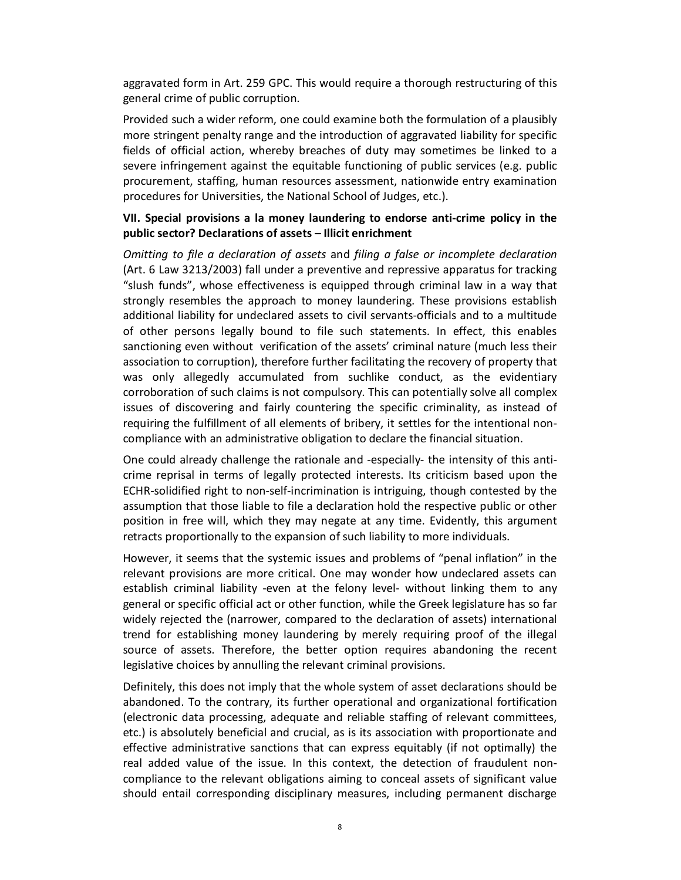aggravated form in Art. 259 GPC. This would require a thorough restructuring of this general crime of public corruption.

Provided such a wider reform, one could examine both the formulation of a plausibly more stringent penalty range and the introduction of aggravated liability for specific fields of official action, whereby breaches of duty may sometimes be linked to a severe infringement against the equitable functioning of public services (e.g. public procurement, staffing, human resources assessment, nationwide entry examination procedures for Universities, the National School of Judges, etc.).

#### **VII. Special provisions a la money laundering to endorse anti-crime policy in the public sector? Declarations of assets – Illicit enrichment**

*Omitting to file a declaration of assets* and *filing a false or incomplete declaration* (Art. 6 Law 3213/2003) fall under a preventive and repressive apparatus for tracking "slush funds", whose effectiveness is equipped through criminal law in a way that strongly resembles the approach to money laundering. These provisions establish additional liability for undeclared assets to civil servants-officials and to a multitude of other persons legally bound to file such statements. In effect, this enables sanctioning even without verification of the assets' criminal nature (much less their association to corruption), therefore further facilitating the recovery of property that was only allegedly accumulated from suchlike conduct, as the evidentiary corroboration of such claims is not compulsory. This can potentially solve all complex issues of discovering and fairly countering the specific criminality, as instead of requiring the fulfillment of all elements of bribery, it settles for the intentional noncompliance with an administrative obligation to declare the financial situation.

One could already challenge the rationale and -especially- the intensity of this anticrime reprisal in terms of legally protected interests. Its criticism based upon the ECHR-solidified right to non-self-incrimination is intriguing, though contested by the assumption that those liable to file a declaration hold the respective public or other position in free will, which they may negate at any time. Evidently, this argument retracts proportionally to the expansion of such liability to more individuals.

However, it seems that the systemic issues and problems of "penal inflation" in the relevant provisions are more critical. One may wonder how undeclared assets can establish criminal liability -even at the felony level- without linking them to any general or specific official act or other function, while the Greek legislature has so far widely rejected the (narrower, compared to the declaration of assets) international trend for establishing money laundering by merely requiring proof of the illegal source of assets. Therefore, the better option requires abandoning the recent legislative choices by annulling the relevant criminal provisions.

Definitely, this does not imply that the whole system of asset declarations should be abandoned. To the contrary, its further operational and organizational fortification (electronic data processing, adequate and reliable staffing of relevant committees, etc.) is absolutely beneficial and crucial, as is its association with proportionate and effective administrative sanctions that can express equitably (if not optimally) the real added value of the issue. In this context, the detection of fraudulent noncompliance to the relevant obligations aiming to conceal assets of significant value should entail corresponding disciplinary measures, including permanent discharge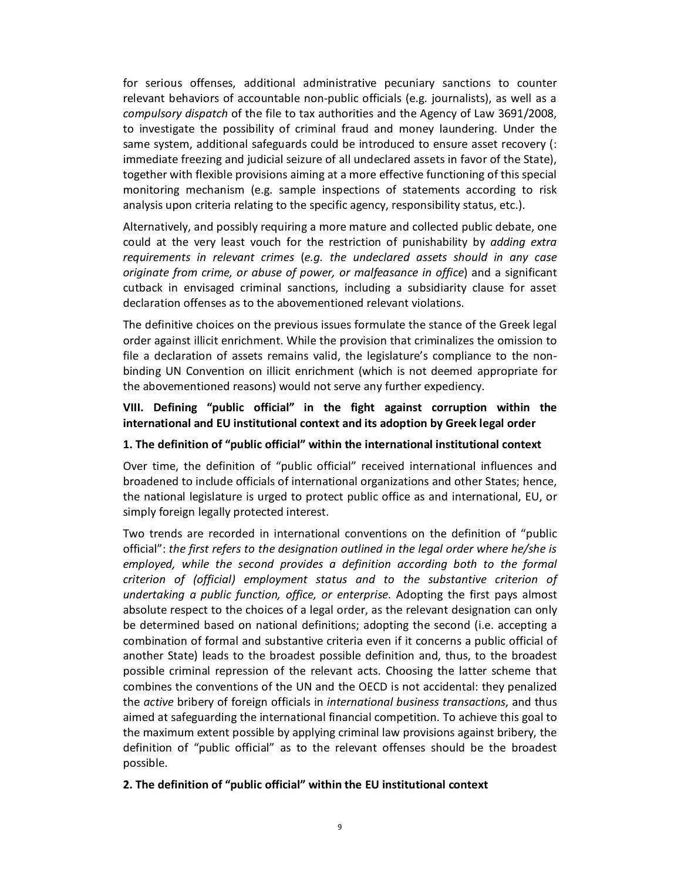for serious offenses, additional administrative pecuniary sanctions to counter relevant behaviors of accountable non-public officials (e.g. journalists), as well as a *compulsory dispatch* of the file to tax authorities and the Agency of Law 3691/2008, to investigate the possibility of criminal fraud and money laundering. Under the same system, additional safeguards could be introduced to ensure asset recovery (: immediate freezing and judicial seizure of all undeclared assets in favor of the State), together with flexible provisions aiming at a more effective functioning of this special monitoring mechanism (e.g. sample inspections of statements according to risk analysis upon criteria relating to the specific agency, responsibility status, etc.).

Alternatively, and possibly requiring a more mature and collected public debate, one could at the very least vouch for the restriction of punishability by *adding extra requirements in relevant crimes* (*e.g. the undeclared assets should in any case originate from crime, or abuse of power, or malfeasance in office*) and a significant cutback in envisaged criminal sanctions, including a subsidiarity clause for asset declaration offenses as to the abovementioned relevant violations.

The definitive choices on the previous issues formulate the stance of the Greek legal order against illicit enrichment. While the provision that criminalizes the omission to file a declaration of assets remains valid, the legislature's compliance to the nonbinding UN Convention on illicit enrichment (which is not deemed appropriate for the abovementioned reasons) would not serve any further expediency.

## **VIII. Defining "public official" in the fight against corruption within the international and EU institutional context and its adoption by Greek legal order**

#### **1. The definition of "public official" within the international institutional context**

Over time, the definition of "public official" received international influences and broadened to include officials of international organizations and other States; hence, the national legislature is urged to protect public office as and international, EU, or simply foreign legally protected interest.

Two trends are recorded in international conventions on the definition of "public official": *the first refers to the designation outlined in the legal order where he/she is employed, while the second provides a definition according both to the formal criterion of (official) employment status and to the substantive criterion of undertaking a public function, office, or enterprise*. Adopting the first pays almost absolute respect to the choices of a legal order, as the relevant designation can only be determined based on national definitions; adopting the second (i.e. accepting a combination of formal and substantive criteria even if it concerns a public official of another State) leads to the broadest possible definition and, thus, to the broadest possible criminal repression of the relevant acts. Choosing the latter scheme that combines the conventions of the UN and the OECD is not accidental: they penalized the *active* bribery of foreign officials in *international business transactions*, and thus aimed at safeguarding the international financial competition. To achieve this goal to the maximum extent possible by applying criminal law provisions against bribery, the definition of "public official" as to the relevant offenses should be the broadest possible.

#### **2. The definition of "public official" within the EU institutional context**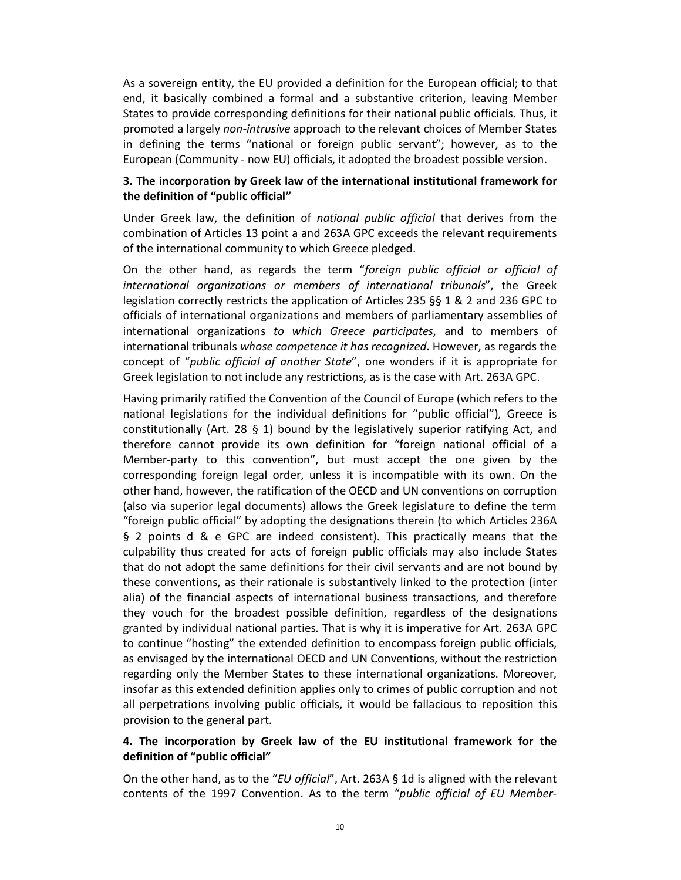As a sovereign entity, the EU provided a definition for the European official; to that end, it basically combined a formal and a substantive criterion, leaving Member States to provide corresponding definitions for their national public officials. Thus, it promoted a largely *non-intrusive* approach to the relevant choices of Member States in defining the terms "national or foreign public servant"; however, as to the European (Community - now EU) officials, it adopted the broadest possible version.

## **3. The incorporation by Greek law of the international institutional framework for the definition of "public official"**

Under Greek law, the definition of *national public official* that derives from the combination of Articles 13 point a and 263A GPC exceeds the relevant requirements of the international community to which Greece pledged.

On the other hand, as regards the term "*foreign public official or official of international organizations or members of international tribunals*", the Greek legislation correctly restricts the application of Articles 235 §§ 1 & 2 and 236 GPC to officials of international organizations and members of parliamentary assemblies of international organizations *to which Greece participates*, and to members of international tribunals *whose competence it has recognized*. However, as regards the concept of "*public official of another State*", one wonders if it is appropriate for Greek legislation to not include any restrictions, as is the case with Art. 263A GPC.

Having primarily ratified the Convention of the Council of Europe (which refers to the national legislations for the individual definitions for "public official"), Greece is constitutionally (Art. 28 § 1) bound by the legislatively superior ratifying Act, and therefore cannot provide its own definition for "foreign national official of a Member-party to this convention", but must accept the one given by the corresponding foreign legal order, unless it is incompatible with its own. On the other hand, however, the ratification of the OECD and UN conventions on corruption (also via superior legal documents) allows the Greek legislature to define the term "foreign public official" by adopting the designations therein (to which Articles 236A § 2 points d & e GPC are indeed consistent). This practically means that the culpability thus created for acts of foreign public officials may also include States that do not adopt the same definitions for their civil servants and are not bound by these conventions, as their rationale is substantively linked to the protection (inter alia) of the financial aspects of international business transactions, and therefore they vouch for the broadest possible definition, regardless of the designations granted by individual national parties. That is why it is imperative for Art. 263A GPC to continue "hosting" the extended definition to encompass foreign public officials, as envisaged by the international OECD and UN Conventions, without the restriction regarding only the Member States to these international organizations. Moreover, insofar as this extended definition applies only to crimes of public corruption and not all perpetrations involving public officials, it would be fallacious to reposition this provision to the general part.

## **4. The incorporation by Greek law of the EU institutional framework for the definition of "public official"**

On the other hand, as to the "*EU official*", Art. 263A § 1d is aligned with the relevant contents of the 1997 Convention. As to the term "*public official of EU Member-*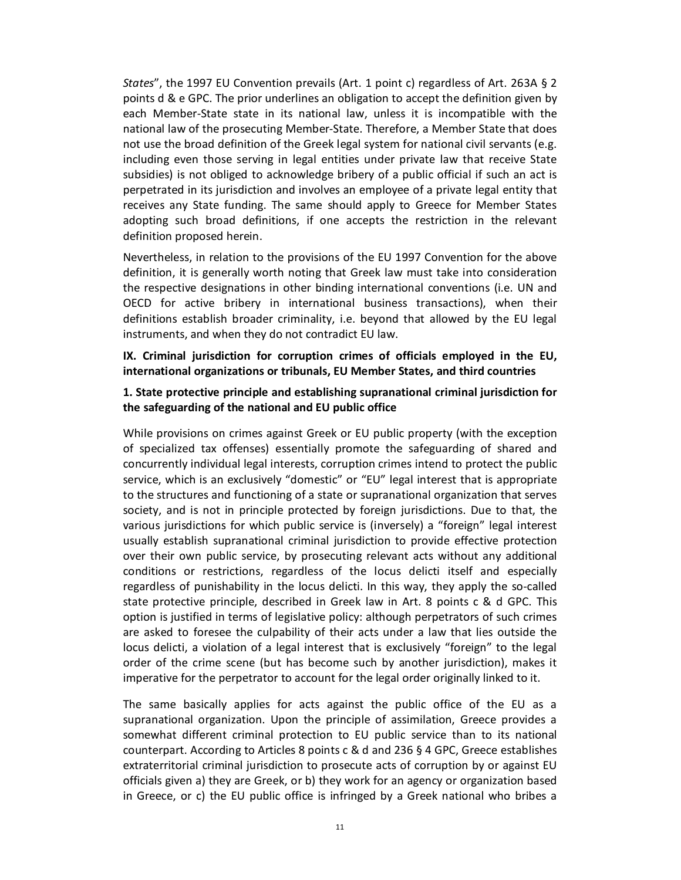*States*", the 1997 EU Convention prevails (Art. 1 point c) regardless of Art. 263A § 2 points d & e GPC. The prior underlines an obligation to accept the definition given by each Member-State state in its national law, unless it is incompatible with the national law of the prosecuting Member-State. Therefore, a Member State that does not use the broad definition of the Greek legal system for national civil servants (e.g. including even those serving in legal entities under private law that receive State subsidies) is not obliged to acknowledge bribery of a public official if such an act is perpetrated in its jurisdiction and involves an employee of a private legal entity that receives any State funding. The same should apply to Greece for Member States adopting such broad definitions, if one accepts the restriction in the relevant definition proposed herein.

Nevertheless, in relation to the provisions of the EU 1997 Convention for the above definition, it is generally worth noting that Greek law must take into consideration the respective designations in other binding international conventions (i.e. UN and OECD for active bribery in international business transactions), when their definitions establish broader criminality, i.e. beyond that allowed by the EU legal instruments, and when they do not contradict EU law.

**IX. Criminal jurisdiction for corruption crimes of officials employed in the EU, international organizations or tribunals, EU Member States, and third countries**

#### **1. State protective principle and establishing supranational criminal jurisdiction for the safeguarding of the national and EU public office**

While provisions on crimes against Greek or EU public property (with the exception of specialized tax offenses) essentially promote the safeguarding of shared and concurrently individual legal interests, corruption crimes intend to protect the public service, which is an exclusively "domestic" or "EU" legal interest that is appropriate to the structures and functioning of a state or supranational organization that serves society, and is not in principle protected by foreign jurisdictions. Due to that, the various jurisdictions for which public service is (inversely) a "foreign" legal interest usually establish supranational criminal jurisdiction to provide effective protection over their own public service, by prosecuting relevant acts without any additional conditions or restrictions, regardless of the locus delicti itself and especially regardless of punishability in the locus delicti. In this way, they apply the so-called state protective principle, described in Greek law in Art. 8 points c & d GPC. This option is justified in terms of legislative policy: although perpetrators of such crimes are asked to foresee the culpability of their acts under a law that lies outside the locus delicti, a violation of a legal interest that is exclusively "foreign" to the legal order of the crime scene (but has become such by another jurisdiction), makes it imperative for the perpetrator to account for the legal order originally linked to it.

The same basically applies for acts against the public office of the EU as a supranational organization. Upon the principle of assimilation, Greece provides a somewhat different criminal protection to EU public service than to its national counterpart. According to Articles 8 points c & d and 236 § 4 GPC, Greece establishes extraterritorial criminal jurisdiction to prosecute acts of corruption by or against EU officials given a) they are Greek, or b) they work for an agency or organization based in Greece, or c) the EU public office is infringed by a Greek national who bribes a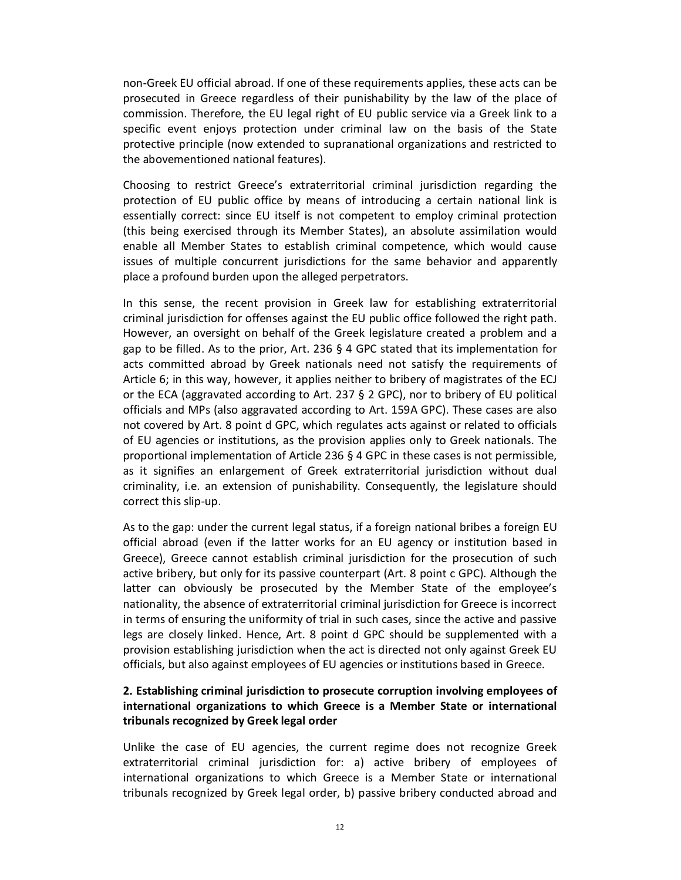non-Greek EU official abroad. If one of these requirements applies, these acts can be prosecuted in Greece regardless of their punishability by the law of the place of commission. Therefore, the EU legal right of EU public service via a Greek link to a specific event enjoys protection under criminal law on the basis of the State protective principle (now extended to supranational organizations and restricted to the abovementioned national features).

Choosing to restrict Greece's extraterritorial criminal jurisdiction regarding the protection of EU public office by means of introducing a certain national link is essentially correct: since EU itself is not competent to employ criminal protection (this being exercised through its Member States), an absolute assimilation would enable all Member States to establish criminal competence, which would cause issues of multiple concurrent jurisdictions for the same behavior and apparently place a profound burden upon the alleged perpetrators.

In this sense, the recent provision in Greek law for establishing extraterritorial criminal jurisdiction for offenses against the EU public office followed the right path. However, an oversight on behalf of the Greek legislature created a problem and a gap to be filled. As to the prior, Art. 236  $\S$  4 GPC stated that its implementation for acts committed abroad by Greek nationals need not satisfy the requirements of Article 6; in this way, however, it applies neither to bribery of magistrates of the ECJ or the ECA (aggravated according to Art. 237 § 2 GPC), nor to bribery of EU political officials and MPs (also aggravated according to Art. 159A GPC). These cases are also not covered by Art. 8 point d GPC, which regulates acts against or related to officials of EU agencies or institutions, as the provision applies only to Greek nationals. The proportional implementation of Article 236 § 4 GPC in these cases is not permissible, as it signifies an enlargement of Greek extraterritorial jurisdiction without dual criminality, i.e. an extension of punishability. Consequently, the legislature should correct this slip-up.

As to the gap: under the current legal status, if a foreign national bribes a foreign EU official abroad (even if the latter works for an EU agency or institution based in Greece), Greece cannot establish criminal jurisdiction for the prosecution of such active bribery, but only for its passive counterpart (Art. 8 point c GPC). Although the latter can obviously be prosecuted by the Member State of the employee's nationality, the absence of extraterritorial criminal jurisdiction for Greece is incorrect in terms of ensuring the uniformity of trial in such cases, since the active and passive legs are closely linked. Hence, Art. 8 point d GPC should be supplemented with a provision establishing jurisdiction when the act is directed not only against Greek EU officials, but also against employees of EU agencies or institutions based in Greece.

## **2. Establishing criminal jurisdiction to prosecute corruption involving employees of international organizations to which Greece is a Member State or international tribunals recognized by Greek legal order**

Unlike the case of EU agencies, the current regime does not recognize Greek extraterritorial criminal jurisdiction for: a) active bribery of employees of international organizations to which Greece is a Member State or international tribunals recognized by Greek legal order, b) passive bribery conducted abroad and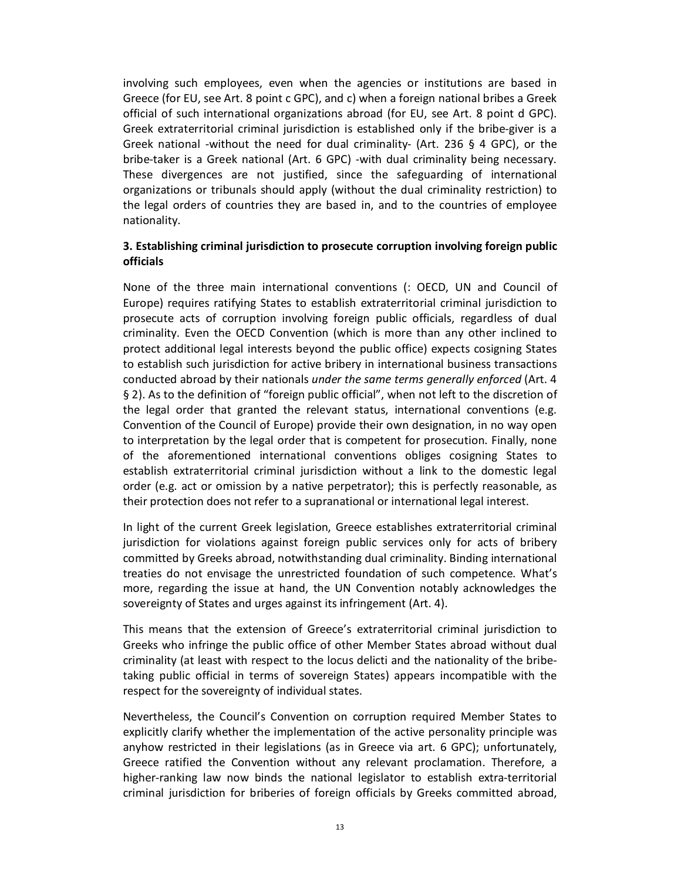involving such employees, even when the agencies or institutions are based in Greece (for EU, see Art. 8 point c GPC), and c) when a foreign national bribes a Greek official of such international organizations abroad (for EU, see Art. 8 point d GPC). Greek extraterritorial criminal jurisdiction is established only if the bribe-giver is a Greek national -without the need for dual criminality- (Art. 236 § 4 GPC), or the bribe-taker is a Greek national (Art. 6 GPC) -with dual criminality being necessary. These divergences are not justified, since the safeguarding of international organizations or tribunals should apply (without the dual criminality restriction) to the legal orders of countries they are based in, and to the countries of employee nationality.

#### **3. Establishing criminal jurisdiction to prosecute corruption involving foreign public officials**

None of the three main international conventions (: OECD, UN and Council of Europe) requires ratifying States to establish extraterritorial criminal jurisdiction to prosecute acts of corruption involving foreign public officials, regardless of dual criminality. Even the OECD Convention (which is more than any other inclined to protect additional legal interests beyond the public office) expects cosigning States to establish such jurisdiction for active bribery in international business transactions conducted abroad by their nationals *under the same terms generally enforced* (Art. 4 § 2). As to the definition of "foreign public official", when not left to the discretion of the legal order that granted the relevant status, international conventions (e.g. Convention of the Council of Europe) provide their own designation, in no way open to interpretation by the legal order that is competent for prosecution. Finally, none of the aforementioned international conventions obliges cosigning States to establish extraterritorial criminal jurisdiction without a link to the domestic legal order (e.g. act or omission by a native perpetrator); this is perfectly reasonable, as their protection does not refer to a supranational or international legal interest.

In light of the current Greek legislation, Greece establishes extraterritorial criminal jurisdiction for violations against foreign public services only for acts of bribery committed by Greeks abroad, notwithstanding dual criminality. Binding international treaties do not envisage the unrestricted foundation of such competence. What's more, regarding the issue at hand, the UN Convention notably acknowledges the sovereignty of States and urges against its infringement (Art. 4).

This means that the extension of Greece's extraterritorial criminal jurisdiction to Greeks who infringe the public office of other Member States abroad without dual criminality (at least with respect to the locus delicti and the nationality of the bribetaking public official in terms of sovereign States) appears incompatible with the respect for the sovereignty of individual states.

Nevertheless, the Council's Convention on corruption required Member States to explicitly clarify whether the implementation of the active personality principle was anyhow restricted in their legislations (as in Greece via art. 6 GPC); unfortunately, Greece ratified the Convention without any relevant proclamation. Therefore, a higher-ranking law now binds the national legislator to establish extra-territorial criminal jurisdiction for briberies of foreign officials by Greeks committed abroad,